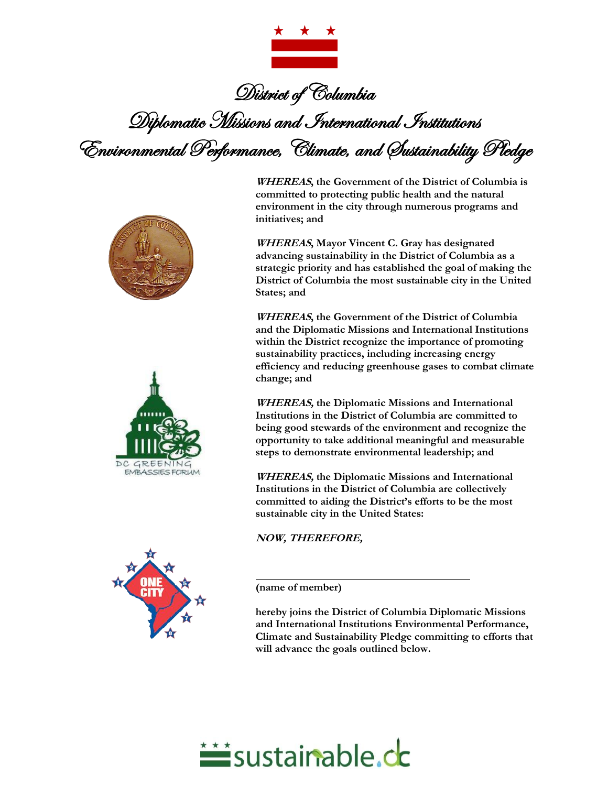

District of Columbia Diplomatic Missions and International Institutions Environmental Performance, Climate, and Sustainability Pledge





**WHEREAS, the Government of the District of Columbia is committed to protecting public health and the natural environment in the city through numerous programs and initiatives; and**

**WHEREAS, Mayor Vincent C. Gray has designated advancing sustainability in the District of Columbia as a strategic priority and has established the goal of making the District of Columbia the most sustainable city in the United States; and**

**WHEREAS, the Government of the District of Columbia and the Diplomatic Missions and International Institutions within the District recognize the importance of promoting sustainability practices, including increasing energy efficiency and reducing greenhouse gases to combat climate change; and**

**WHEREAS, the Diplomatic Missions and International Institutions in the District of Columbia are committed to being good stewards of the environment and recognize the opportunity to take additional meaningful and measurable steps to demonstrate environmental leadership; and**

**WHEREAS, the Diplomatic Missions and International Institutions in the District of Columbia are collectively committed to aiding the District's efforts to be the most sustainable city in the United States:**

**NOW, THEREFORE,**

**(name of member)**

**hereby joins the District of Columbia Diplomatic Missions and International Institutions Environmental Performance, Climate and Sustainability Pledge committing to efforts that will advance the goals outlined below.**



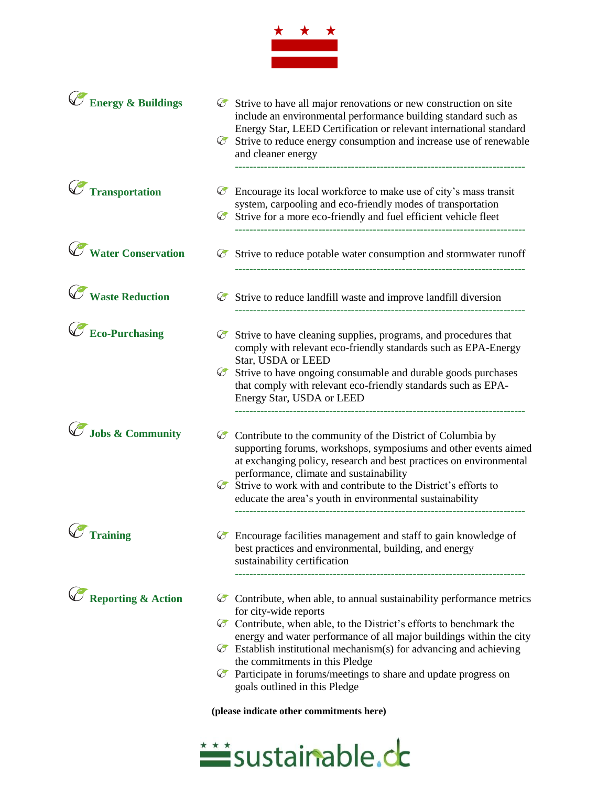

| <b>Energy &amp; Buildings</b> |            | $\circledcirc$ Strive to have all major renovations or new construction on site<br>include an environmental performance building standard such as<br>Energy Star, LEED Certification or relevant international standard<br>$\circledcirc$ Strive to reduce energy consumption and increase use of renewable<br>and cleaner energy                                                                                                                                                                                                                     |
|-------------------------------|------------|-------------------------------------------------------------------------------------------------------------------------------------------------------------------------------------------------------------------------------------------------------------------------------------------------------------------------------------------------------------------------------------------------------------------------------------------------------------------------------------------------------------------------------------------------------|
| <b>Transportation</b>         | $\bigcirc$ | Encourage its local workforce to make use of city's mass transit<br>system, carpooling and eco-friendly modes of transportation<br>$\circledcirc$ Strive for a more eco-friendly and fuel efficient vehicle fleet                                                                                                                                                                                                                                                                                                                                     |
| <b>Water Conservation</b>     | $\bigcirc$ | Strive to reduce potable water consumption and stormwater runoff                                                                                                                                                                                                                                                                                                                                                                                                                                                                                      |
| <b>Waste Reduction</b>        |            | $\circledcirc$ Strive to reduce landfill waste and improve landfill diversion                                                                                                                                                                                                                                                                                                                                                                                                                                                                         |
| <b>Eco-Purchasing</b>         | $\bigcirc$ | Strive to have cleaning supplies, programs, and procedures that<br>comply with relevant eco-friendly standards such as EPA-Energy<br>Star, USDA or LEED<br>$\mathscr C$ Strive to have ongoing consumable and durable goods purchases<br>that comply with relevant eco-friendly standards such as EPA-<br>Energy Star, USDA or LEED                                                                                                                                                                                                                   |
| Jobs & Community              |            | $\circledcirc$ Contribute to the community of the District of Columbia by<br>supporting forums, workshops, symposiums and other events aimed<br>at exchanging policy, research and best practices on environmental<br>performance, climate and sustainability<br>$\circledcirc$ Strive to work with and contribute to the District's efforts to<br>educate the area's youth in environmental sustainability                                                                                                                                           |
| $\mathscr O$ Training         |            | $\circledcirc$ Encourage facilities management and staff to gain knowledge of<br>best practices and environmental, building, and energy<br>sustainability certification                                                                                                                                                                                                                                                                                                                                                                               |
| <b>Reporting &amp; Action</b> |            | $\circledcirc$ Contribute, when able, to annual sustainability performance metrics<br>for city-wide reports<br>$\circledcirc$ Contribute, when able, to the District's efforts to benchmark the<br>energy and water performance of all major buildings within the city<br>$\mathscr C$ Establish institutional mechanism(s) for advancing and achieving<br>the commitments in this Pledge<br>$\mathscr C$ Participate in forums/meetings to share and update progress on<br>goals outlined in this Pledge<br>(please indicate other commitments here) |